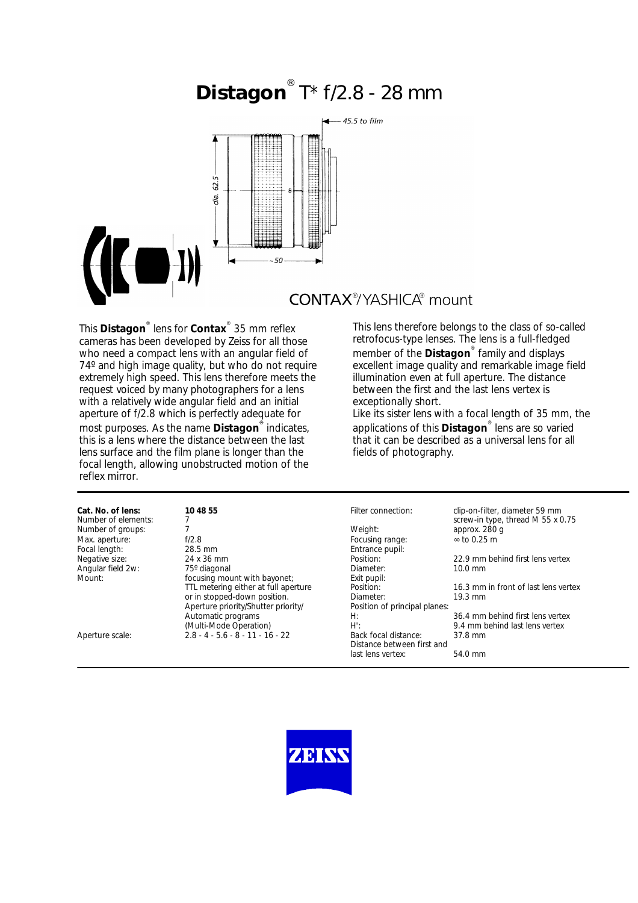# **Distagon**<sup>®</sup> T\* f/2.8 - 28 mm



## **CONTAX**<sup>®</sup>/YASHICA® mount

This **Distagon**® lens for **Contax**® 35 mm reflex cameras has been developed by Zeiss for all those who need a compact lens with an angular field of 74º and high image quality, but who do not require extremely high speed. This lens therefore meets the request voiced by many photographers for a lens with a relatively wide angular field and an initial aperture of f/2.8 which is perfectly adequate for most purposes. As the name **Distagon**® indicates, this is a lens where the distance between the last lens surface and the film plane is longer than the focal length, allowing unobstructed motion of the reflex mirror.

This lens therefore belongs to the class of so-called retrofocus-type lenses. The lens is a full-fledged member of the **Distagon**® family and displays excellent image quality and remarkable image field illumination even at full aperture. The distance between the first and the last lens vertex is exceptionally short.

Like its sister lens with a focal length of 35 mm, the applications of this **Distagon**® lens are so varied that it can be described as a universal lens for all fields of photography.

| Cat. No. of lens:   | 10 48 55                             | Filter connection:            | clip-on-filter, diameter 59 mm       |
|---------------------|--------------------------------------|-------------------------------|--------------------------------------|
| Number of elements: |                                      |                               | screw-in type, thread M 55 x 0.75    |
| Number of groups:   |                                      | Weight:                       | approx. 280 q                        |
| Max. aperture:      | f/2.8                                | Focusing range:               | $\approx$ to 0.25 m                  |
| Focal length:       | 28.5 mm                              | Entrance pupil:               |                                      |
| Negative size:      | 24 x 36 mm                           | Position:                     | 22.9 mm behind first lens vertex     |
| Angular field 2w:   | 75° diagonal                         | Diameter:                     | $10.0 \text{ mm}$                    |
| Mount:              | focusing mount with bayonet;         | Exit pupil:                   |                                      |
|                     | TTL metering either at full aperture | Position:                     | 16.3 mm in front of last lens vertex |
|                     | or in stopped-down position.         | Diameter:                     | $19.3 \text{ mm}$                    |
|                     | Aperture priority/Shutter priority/  | Position of principal planes: |                                      |
|                     | Automatic programs                   | H:                            | 36.4 mm behind first lens vertex     |
|                     | (Multi-Mode Operation)               | $H^{\prime}$ :                | 9.4 mm behind last lens vertex       |
| Aperture scale:     | $2.8 - 4 - 5.6 - 8 - 11 - 16 - 22$   | Back focal distance:          | 37.8 mm                              |
|                     |                                      | Distance between first and    |                                      |
|                     |                                      | last lens vertex:             | 54.0 mm                              |
|                     |                                      |                               |                                      |